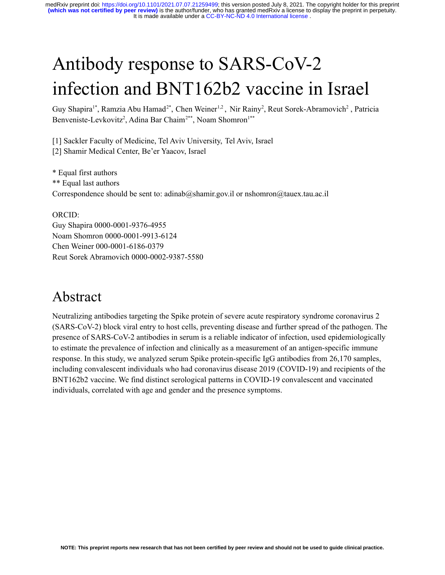# Antibody response to SARS-CoV-2 infection and BNT162b2 vaccine in Israel

Guy Shapira<sup>1\*</sup>, Ramzia Abu Hamad<sup>2\*</sup>, Chen Weiner<sup>1,2</sup>, Nir Rainy<sup>2</sup>, Reut Sorek-Abramovich<sup>2</sup>, Patricia Benveniste-Levkovitz<sup>2</sup>, Adina Bar Chaim<sup>2\*\*</sup>, Noam Shomron<sup>1\*\*</sup>

[1] Sackler Faculty of Medicine, Tel Aviv University, Tel Aviv, Israel

[2] Shamir Medical Center, Be'er Yaacov, Israel

\* Equal first authors

\*\* Equal last authors

Correspondence should be sent to: [adinab@shamir.gov.il](mailto:adinab@shamir.gov.il) or [nshomron@tauex.tau.ac.il](mailto:nshomron@tauex.tau.ac.il)

ORCID:

Guy Shapira 0000-0001-9376-4955 Noam Shomron 0000-0001-9913-6124 Chen Weiner 000-0001-6186-0379 Reut Sorek Abramovich 0000-0002-9387-5580

# Abstract

Neutralizing antibodies targeting the Spike protein of severe acute respiratory syndrome coronavirus 2 (SARS-CoV-2) block viral entry to host cells, preventing disease and further spread of the pathogen. The presence of SARS-CoV-2 antibodies in serum is a reliable indicator of infection, used epidemiologically to estimate the prevalence of infection and clinically as a measurement of an antigen-specific immune response. In this study, we analyzed serum Spike protein-specific IgG antibodies from 26,170 samples, including convalescent individuals who had coronavirus disease 2019 (COVID-19) and recipients of the BNT162b2 vaccine. We find distinct serological patterns in COVID-19 convalescent and vaccinated individuals, correlated with age and gender and the presence symptoms.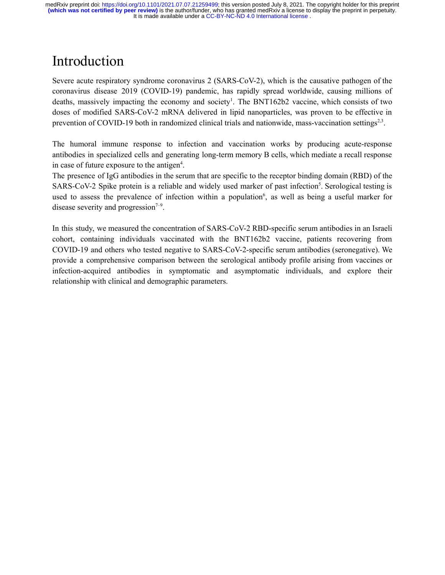# Introduction

Severe acute respiratory syndrome coronavirus 2 (SARS-CoV-2), which is the causative pathogen of the coronavirus disease 2019 (COVID-19) pandemic, has rapidly spread worldwide, causing millions of deaths, massively impacting the economy and society<sup>[1](https://www.zotero.org/google-docs/?kvAHAr)</sup>. The BNT162b2 vaccine, which consists of two doses of modified SARS-CoV-2 mRNA delivered in lipid nanoparticles, was proven to be effective in prevention of COVID-19 both in randomized clinical trials and nationwide, mass-vaccination settings<sup>[2,3](https://www.zotero.org/google-docs/?w3UAZh)</sup>.

The humoral immune response to infection and vaccination works by producing acute-response antibodies in specialized cells and generating long-term memory B cells, which mediate a recall response in case of future exposure to the antigen<sup>[4](https://www.zotero.org/google-docs/?AYHKBN)</sup>.

The presence of IgG antibodies in the serum that are specific to the receptor binding domain (RBD) of the SARS-CoV-2 Spike protein is a reliable and widely used marker of past infection<sup>[5](https://www.zotero.org/google-docs/?OXrX8Y)</sup>. Serological testing is used to assess the prevalence of infection within a population<sup>[6](https://www.zotero.org/google-docs/?V9JmHm)</sup>, as well as being a useful marker for disease severity and progression<sup> $7-9$ </sup>.

In this study, we measured the concentration of SARS-CoV-2 RBD-specific serum antibodies in an Israeli cohort, containing individuals vaccinated with the BNT162b2 vaccine, patients recovering from COVID-19 and others who tested negative to SARS-CoV-2-specific serum antibodies (seronegative). We provide a comprehensive comparison between the serological antibody profile arising from vaccines or infection-acquired antibodies in symptomatic and asymptomatic individuals, and explore their relationship with clinical and demographic parameters.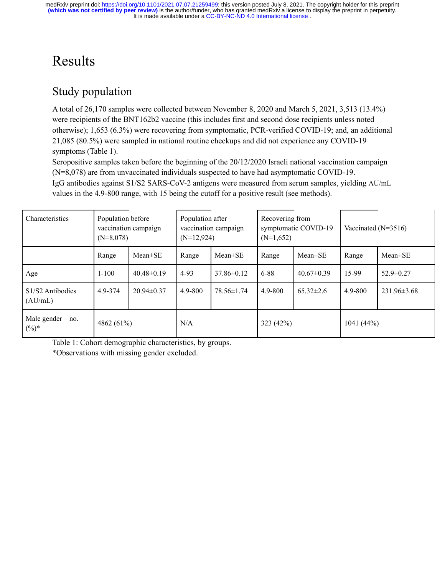# Results

#### Study population

A total of 26,170 samples were collected between November 8, 2020 and March 5, 2021, 3,513 (13.4%) were recipients of the BNT162b2 vaccine (this includes first and second dose recipients unless noted otherwise); 1,653 (6.3%) were recovering from symptomatic, PCR-verified COVID-19; and, an additional 21,085 (80.5%) were sampled in national routine checkups and did not experience any COVID-19 symptoms (Table 1).

Seropositive samples taken before the beginning of the 20/12/2020 Israeli national vaccination campaign (N=8,078) are from unvaccinated individuals suspected to have had asymptomatic COVID-19. IgG antibodies against S1/S2 SARS-CoV-2 antigens were measured from serum samples, yielding AU/mL values in the 4.9-800 range, with 15 being the cutoff for a positive result (see methods).

| Characteristics                                      | Population before<br>vaccination campaign<br>$(N=8,078)$ |                  | Population after<br>vaccination campaign<br>$(N=12,924)$ |                  | Recovering from<br>symptomatic COVID-19<br>$(N=1,652)$ |                  | Vaccinated $(N=3516)$ |                   |
|------------------------------------------------------|----------------------------------------------------------|------------------|----------------------------------------------------------|------------------|--------------------------------------------------------|------------------|-----------------------|-------------------|
|                                                      | Range                                                    | $Mean \pm SE$    | Range                                                    | $Mean \pm SE$    | Range                                                  | $Mean \pm SE$    | Range                 | $Mean \pm SE$     |
| Age                                                  | $1 - 100$                                                | $40.48 \pm 0.19$ | 4-93                                                     | $37.86 \pm 0.12$ | 6-88                                                   | $40.67 \pm 0.39$ | 15-99                 | $52.9 \pm 0.27$   |
| S <sub>1</sub> /S <sub>2</sub> Antibodies<br>(AU/mL) | 4.9-374                                                  | $20.94\pm0.37$   | 4.9-800                                                  | 78.56±1.74       | 4.9-800                                                | $65.32 \pm 2.6$  | 4.9-800               | $231.96 \pm 3.68$ |
| Male gender $-$ no.<br>$(\%)^*$                      | 4862 $(61\%)$                                            |                  | N/A                                                      |                  | 323(42%)                                               |                  | 1041 $(44%)$          |                   |

Table 1: Cohort demographic characteristics, by groups. \*Observations with missing gender excluded.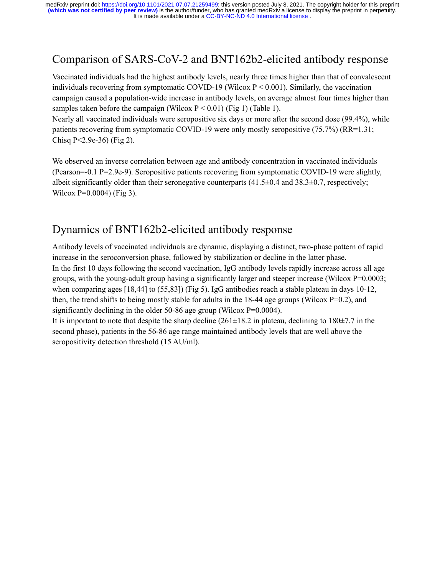#### Comparison of SARS-CoV-2 and BNT162b2-elicited antibody response

Vaccinated individuals had the highest antibody levels, nearly three times higher than that of convalescent individuals recovering from symptomatic COVID-19 (Wilcox P < 0.001). Similarly, the vaccination campaign caused a population-wide increase in antibody levels, on average almost four times higher than samples taken before the campaign (Wilcox  $P < 0.01$ ) (Fig 1) (Table 1). Nearly all vaccinated individuals were seropositive six days or more after the second dose (99.4%), while patients recovering from symptomatic COVID-19 were only mostly seropositive (75.7%) (RR=1.31; Chisq P<2.9e-36) (Fig 2).

We observed an inverse correlation between age and antibody concentration in vaccinated individuals (Pearson=-0.1 P=2.9e-9). Seropositive patients recovering from symptomatic COVID-19 were slightly, albeit significantly older than their seronegative counterparts  $(41.5\pm0.4$  and  $38.3\pm0.7$ , respectively; Wilcox P=0.0004) (Fig 3).

#### Dynamics of BNT162b2-elicited antibody response

Antibody levels of vaccinated individuals are dynamic, displaying a distinct, two-phase pattern of rapid increase in the seroconversion phase, followed by stabilization or decline in the latter phase. In the first 10 days following the second vaccination, IgG antibody levels rapidly increase across all age groups, with the young-adult group having a significantly larger and steeper increase (Wilcox P=0.0003; when comparing ages [18,44] to (55,83]) (Fig 5). IgG antibodies reach a stable plateau in days 10-12, then, the trend shifts to being mostly stable for adults in the 18-44 age groups (Wilcox P=0.2), and significantly declining in the older 50-86 age group (Wilcox P=0.0004).

It is important to note that despite the sharp decline  $(261\pm18.2$  in plateau, declining to  $180\pm7.7$  in the second phase), patients in the 56-86 age range maintained antibody levels that are well above the seropositivity detection threshold (15 AU/ml).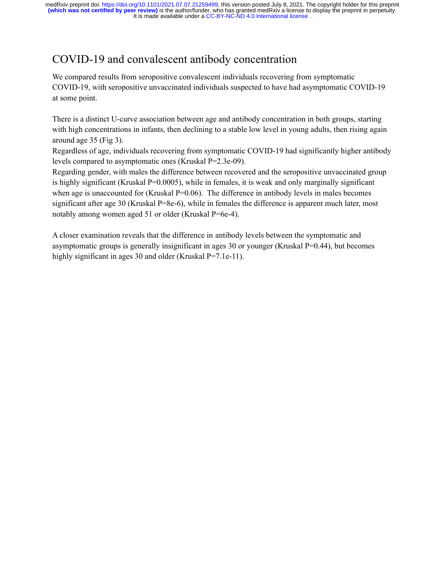#### COVID-19 and convalescent antibody concentration

We compared results from seropositive convalescent individuals recovering from symptomatic COVID-19, with seropositive unvaccinated individuals suspected to have had asymptomatic COVID-19 at some point.

There is a distinct U-curve association between age and antibody concentration in both groups, starting with high concentrations in infants, then declining to a stable low level in young adults, then rising again around age 35 (Fig 3).

Regardless of age, individuals recovering from symptomatic COVID-19 had significantly higher antibody levels compared to asymptomatic ones (Kruskal P=2.3e-09).

Regarding gender, with males the difference between recovered and the seropositive unvaccinated group is highly significant (Kruskal  $P=0.0005$ ), while in females, it is weak and only marginally significant when age is unaccounted for (Kruskal P=0.06). The difference in antibody levels in males becomes significant after age 30 (Kruskal P=8e-6), while in females the difference is apparent much later, most notably among women aged 51 or older (Kruskal P=6e-4).

A closer examination reveals that the difference in antibody levels between the symptomatic and asymptomatic groups is generally insignificant in ages 30 or younger (Kruskal P=0.44), but becomes highly significant in ages 30 and older (Kruskal P=7.1e-11).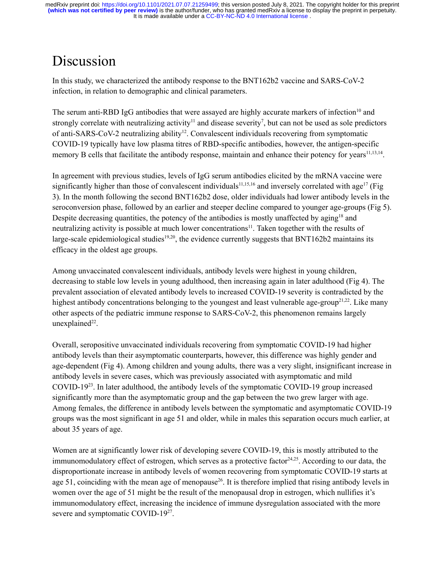# Discussion

In this study, we characterized the antibody response to the BNT162b2 vaccine and SARS-CoV-2 infection, in relation to demographic and clinical parameters.

The serum anti-RBD IgG antibodies that were assayed are highly accurate markers of infection<sup>[10](https://www.zotero.org/google-docs/?miDeLz)</sup> and strongly correlate with neutralizing activity<sup>[11](https://www.zotero.org/google-docs/?5VGiF8)</sup> and disease severity<sup>[7](https://www.zotero.org/google-docs/?87juzV)</sup>, but can not be used as sole predictors of anti-SARS-CoV-2 neutralizing ability<sup>[12](https://www.zotero.org/google-docs/?uOrpJj)</sup>. Convalescent individuals recovering from symptomatic COVID-19 typically have low plasma titres of RBD-specific antibodies, however, the antigen-specific memory B cells that facilitate the antibody response, maintain and enhance their potency for years<sup>[11,13,14](https://www.zotero.org/google-docs/?TqaNyI)</sup>.

In agreement with previous studies, levels of IgG serum antibodies elicited by the mRNA vaccine were significantly higher than those of convalescent individuals<sup>[11,15,16](https://www.zotero.org/google-docs/?N29WaY)</sup> and inversely correlated with age<sup>[17](https://www.zotero.org/google-docs/?yhCcqN)</sup> (Fig. 3). In the month following the second BNT162b2 dose, older individuals had lower antibody levels in the seroconversion phase, followed by an earlier and steeper decline compared to younger age-groups (Fig 5). Despite decreasing quantities, the potency of the antibodies is mostly unaffected by aging<sup>[18](https://www.zotero.org/google-docs/?9bBYfv)</sup> and neutralizing activity is possible at much lower concentrations<sup>[11](https://www.zotero.org/google-docs/?cmubny)</sup>. Taken together with the results of large-scale epidemiological studies<sup>[19,20](https://www.zotero.org/google-docs/?PPWmv5)</sup>, the evidence currently suggests that BNT162b2 maintains its efficacy in the oldest age groups.

Among unvaccinated convalescent individuals, antibody levels were highest in young children, decreasing to stable low levels in young adulthood, then increasing again in later adulthood (Fig 4). The prevalent association of elevated antibody levels to increased COVID-19 severity is contradicted by the highest antibody concentrations belonging to the youngest and least vulnerable age-group<sup>[21,22](https://www.zotero.org/google-docs/?pMCj1a)</sup>. Like many other aspects of the pediatric immune response to SARS-CoV-2, this phenomenon remains largely  $unexplained<sup>22</sup>$  $unexplained<sup>22</sup>$  $unexplained<sup>22</sup>$ .

Overall, seropositive unvaccinated individuals recovering from symptomatic COVID-19 had higher antibody levels than their asymptomatic counterparts, however, this difference was highly gender and age-dependent (Fig 4). Among children and young adults, there was a very slight, insignificant increase in antibody levels in severe cases, which was previously associated with asymptomatic and mild COVID-19[23](https://www.zotero.org/google-docs/?ibvwnc). In later adulthood, the antibody levels of the symptomatic COVID-19 group increased significantly more than the asymptomatic group and the gap between the two grew larger with age. Among females, the difference in antibody levels between the symptomatic and asymptomatic COVID-19 groups was the most significant in age 51 and older, while in males this separation occurs much earlier, at about 35 years of age.

Women are at significantly lower risk of developing severe COVID-19, this is mostly attributed to the immunomodulatory effect of estrogen, which serves as a protective factor  $24,25$ . According to our data, the disproportionate increase in antibody levels of women recovering from symptomatic COVID-19 starts at age 51, coinciding with the mean age of menopause<sup>[26](https://www.zotero.org/google-docs/?XnYbLs)</sup>. It is therefore implied that rising antibody levels in women over the age of 51 might be the result of the menopausal drop in estrogen, which nullifies it's immunomodulatory effect, increasing the incidence of immune dysregulation associated with the more severe and symptomatic COVID-19<sup>[27](https://www.zotero.org/google-docs/?Ge3RmE)</sup>.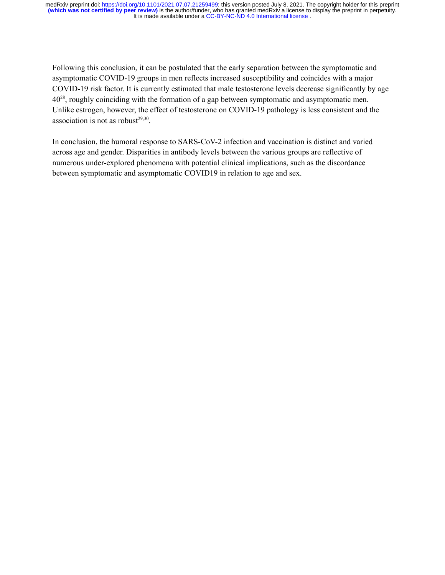Following this conclusion, it can be postulated that the early separation between the symptomatic and asymptomatic COVID-19 groups in men reflects increased susceptibility and coincides with a major COVID-19 risk factor. It is currently estimated that male testosterone levels decrease significantly by age  $40<sup>28</sup>$  $40<sup>28</sup>$  $40<sup>28</sup>$ , roughly coinciding with the formation of a gap between symptomatic and asymptomatic men. Unlike estrogen, however, the effect of testosterone on COVID-19 pathology is less consistent and the association is not as robust $29,30$ .

In conclusion, the humoral response to SARS-CoV-2 infection and vaccination is distinct and varied across age and gender. Disparities in antibody levels between the various groups are reflective of numerous under-explored phenomena with potential clinical implications, such as the discordance between symptomatic and asymptomatic COVID19 in relation to age and sex.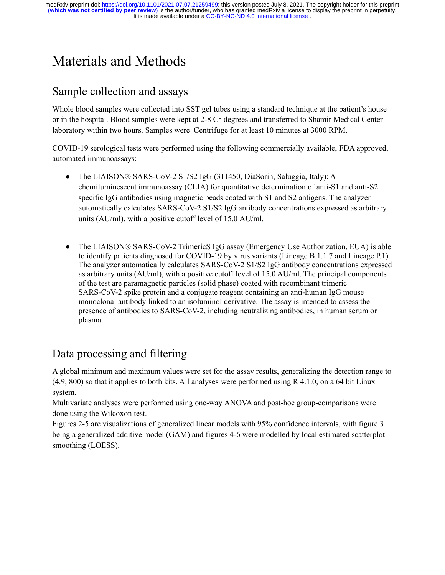# Materials and Methods

#### Sample collection and assays

Whole blood samples were collected into SST gel tubes using a standard technique at the patient's house or in the hospital. Blood samples were kept at 2-8 C° degrees and transferred to Shamir Medical Center laboratory within two hours. Samples were Centrifuge for at least 10 minutes at 3000 RPM.

COVID-19 serological tests were performed using the following commercially available, FDA approved, automated immunoassays:

- The LIAISON® SARS-CoV-2 S1/S2 IgG (311450, DiaSorin, Saluggia, Italy): A chemiluminescent immunoassay (CLIA) for quantitative determination of anti-S1 and anti-S2 specific IgG antibodies using magnetic beads coated with S1 and S2 antigens. The analyzer automatically calculates SARS-CoV-2 S1/S2 IgG antibody concentrations expressed as arbitrary units (AU/ml), with a positive cutoff level of 15.0 AU/ml.
- The LIAISON® SARS-CoV-2 TrimericS IgG assay (Emergency Use Authorization, EUA) is able to identify patients diagnosed for COVID-19 by virus variants (Lineage B.1.1.7 and Lineage P.1). The analyzer automatically calculates SARS-CoV-2 S1/S2 IgG antibody concentrations expressed as arbitrary units (AU/ml), with a positive cutoff level of 15.0 AU/ml. The principal components of the test are paramagnetic particles (solid phase) coated with recombinant trimeric SARS-CoV-2 spike protein and a conjugate reagent containing an anti-human IgG mouse monoclonal antibody linked to an isoluminol derivative. The assay is intended to assess the presence of antibodies to SARS-CoV-2, including neutralizing antibodies, in human serum or plasma.

#### Data processing and filtering

A global minimum and maximum values were set for the assay results, generalizing the detection range to (4.9, 800) so that it applies to both kits. All analyses were performed using R 4.1.0, on a 64 bit Linux system.

Multivariate analyses were performed using one-way ANOVA and post-hoc group-comparisons were done using the Wilcoxon test.

Figures 2-5 are visualizations of generalized linear models with 95% confidence intervals, with figure 3 being a generalized additive model (GAM) and figures 4-6 were modelled by local estimated scatterplot smoothing (LOESS).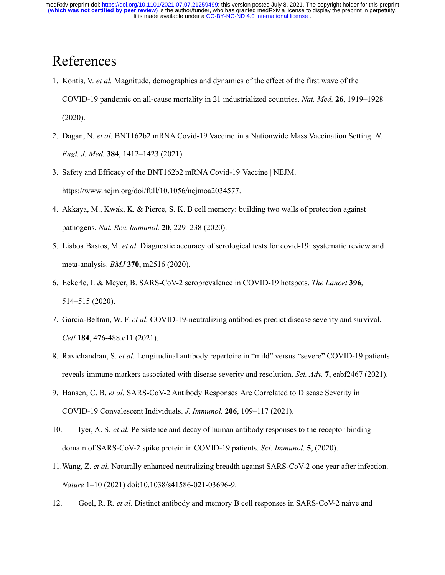### References

- 1. Kontis, V. *et al.* [Magnitude, demographics and dynamics of the effect of the first wave of the](https://www.zotero.org/google-docs/?8ba9OB) [COVID-19 pandemic on all-cause mortality in 21 industrialized countries.](https://www.zotero.org/google-docs/?8ba9OB) *Nat. Med.* **26**, 1919–1928 [\(2020\).](https://www.zotero.org/google-docs/?8ba9OB)
- 2. Dagan, N. *et al.* [BNT162b2 mRNA Covid-19 Vaccine in a Nationwide Mass Vaccination Setting.](https://www.zotero.org/google-docs/?8ba9OB) *N. Engl. J. Med.* **384**[, 1412–1423 \(2021\).](https://www.zotero.org/google-docs/?8ba9OB)
- [3. Safety and Efficacy of the BNT162b2 mRNA Covid-19 Vaccine | NEJM.](https://www.zotero.org/google-docs/?8ba9OB) [https://www.nejm.org/doi/full/10.1056/nejmoa2034577.](https://www.zotero.org/google-docs/?8ba9OB)
- [4. Akkaya, M., Kwak, K. & Pierce, S. K. B cell memory: building two walls of protection against](https://www.zotero.org/google-docs/?8ba9OB) pathogens. *[Nat. Rev. Immunol.](https://www.zotero.org/google-docs/?8ba9OB)* **20**, 229–238 (2020).
- 5. Lisboa Bastos, M. *et al.* [Diagnostic accuracy of serological tests for covid-19: systematic review and](https://www.zotero.org/google-docs/?8ba9OB) meta-analysis. *BMJ* **370**[, m2516 \(2020\).](https://www.zotero.org/google-docs/?8ba9OB)
- [6. Eckerle, I. & Meyer, B. SARS-CoV-2 seroprevalence in COVID-19 hotspots.](https://www.zotero.org/google-docs/?8ba9OB) *The Lancet* **396**, [514–515 \(2020\).](https://www.zotero.org/google-docs/?8ba9OB)
- 7. Garcia-Beltran, W. F. *et al.* [COVID-19-neutralizing antibodies predict disease severity and survival.](https://www.zotero.org/google-docs/?8ba9OB) *Cell* **184**[, 476-488.e11 \(2021\).](https://www.zotero.org/google-docs/?8ba9OB)
- 8. Ravichandran, S. *et al.* [Longitudinal antibody repertoire in "mild" versus "severe" COVID-19 patients](https://www.zotero.org/google-docs/?8ba9OB) [reveals immune markers associated with disease severity and resolution.](https://www.zotero.org/google-docs/?8ba9OB) *Sci. Adv.* **7**, eabf2467 (2021).
- 9. Hansen, C. B. *et al.* [SARS-CoV-2 Antibody Responses Are Correlated to Disease Severity in](https://www.zotero.org/google-docs/?8ba9OB) [COVID-19 Convalescent Individuals.](https://www.zotero.org/google-docs/?8ba9OB) *J. Immunol.* **206**, 109–117 (2021).
- 10. Iyer, A. S. *et al.* [Persistence and decay of human antibody responses to the receptor binding](https://www.zotero.org/google-docs/?8ba9OB) [domain of SARS-CoV-2 spike protein in COVID-19 patients.](https://www.zotero.org/google-docs/?8ba9OB) *Sci. Immunol.* **5**, (2020).
- 11.Wang, Z. *et al.* [Naturally enhanced neutralizing breadth against SARS-CoV-2 one year after infection.](https://www.zotero.org/google-docs/?8ba9OB) *Nature* [1–10 \(2021\) doi:10.1038/s41586-021-03696-9.](https://www.zotero.org/google-docs/?8ba9OB)
- 12. Goel, R. R. *et al.* [Distinct antibody and memory B cell responses in SARS-CoV-2 naïve and](https://www.zotero.org/google-docs/?8ba9OB)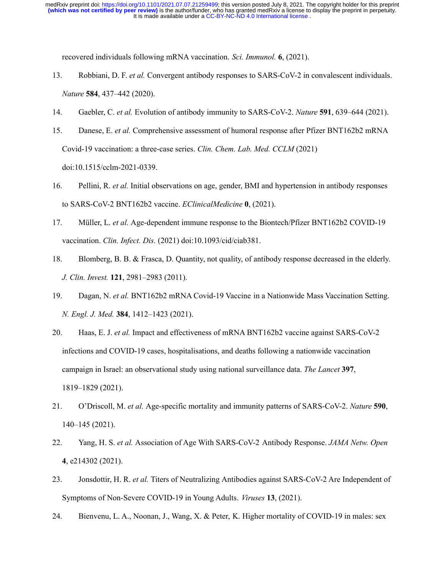[recovered individuals following mRNA vaccination.](https://www.zotero.org/google-docs/?8ba9OB) *Sci. Immunol.* **6**, (2021).

- 13. Robbiani, D. F. *et al.* [Convergent antibody responses to SARS-CoV-2 in convalescent individuals.](https://www.zotero.org/google-docs/?8ba9OB) *Nature* **584**[, 437–442 \(2020\).](https://www.zotero.org/google-docs/?8ba9OB)
- 14. Gaebler, C. *et al.* [Evolution of antibody immunity to SARS-CoV-2.](https://www.zotero.org/google-docs/?8ba9OB) *Nature* **591**, 639–644 (2021).
- 15. Danese, E. *et al.* [Comprehensive assessment of humoral response after Pfizer BNT162b2 mRNA](https://www.zotero.org/google-docs/?8ba9OB) [Covid-19 vaccination: a three-case series.](https://www.zotero.org/google-docs/?8ba9OB) *Clin. Chem. Lab. Med. CCLM* (2021) [doi:10.1515/cclm-2021-0339.](https://www.zotero.org/google-docs/?8ba9OB)
- 16. Pellini, R. *et al.* [Initial observations on age, gender, BMI and hypertension in antibody responses](https://www.zotero.org/google-docs/?8ba9OB) [to SARS-CoV-2 BNT162b2 vaccine.](https://www.zotero.org/google-docs/?8ba9OB) *EClinicalMedicine* **0**, (2021).
- 17. Müller, L. *et al.* [Age-dependent immune response to the Biontech/Pfizer BNT162b2 COVID-19](https://www.zotero.org/google-docs/?8ba9OB) vaccination. *Clin. Infect. Dis.* [\(2021\) doi:10.1093/cid/ciab381.](https://www.zotero.org/google-docs/?8ba9OB)
- [18. Blomberg, B. B. & Frasca, D. Quantity, not quality, of antibody response decreased in the elderly.](https://www.zotero.org/google-docs/?8ba9OB) *J. Clin. Invest.* **121**[, 2981–2983 \(2011\).](https://www.zotero.org/google-docs/?8ba9OB)
- 19. Dagan, N. *et al.* [BNT162b2 mRNA Covid-19 Vaccine in a Nationwide Mass Vaccination Setting.](https://www.zotero.org/google-docs/?8ba9OB) *N. Engl. J. Med.* **384**[, 1412–1423 \(2021\).](https://www.zotero.org/google-docs/?8ba9OB)
- 20. Haas, E. J. *et al.* [Impact and effectiveness of mRNA BNT162b2 vaccine against SARS-CoV-2](https://www.zotero.org/google-docs/?8ba9OB) [infections and COVID-19 cases, hospitalisations, and deaths following a nationwide vaccination](https://www.zotero.org/google-docs/?8ba9OB) [campaign in Israel: an observational study using national surveillance data.](https://www.zotero.org/google-docs/?8ba9OB) *The Lancet* **397**, [1819–1829 \(2021\).](https://www.zotero.org/google-docs/?8ba9OB)
- 21. O'Driscoll, M. *et al.* [Age-specific mortality and immunity patterns of SARS-CoV-2.](https://www.zotero.org/google-docs/?8ba9OB) *Nature* **590**, [140–145 \(2021\).](https://www.zotero.org/google-docs/?8ba9OB)
- 22. Yang, H. S. *et al.* [Association of Age With SARS-CoV-2 Antibody Response.](https://www.zotero.org/google-docs/?8ba9OB) *JAMA Netw. Open* **4**[, e214302 \(2021\).](https://www.zotero.org/google-docs/?8ba9OB)
- 23. Jonsdottir, H. R. *et al.* [Titers of Neutralizing Antibodies against SARS-CoV-2 Are Independent of](https://www.zotero.org/google-docs/?8ba9OB) [Symptoms of Non-Severe COVID-19 in Young Adults.](https://www.zotero.org/google-docs/?8ba9OB) *Viruses* **13**, (2021).
- [24. Bienvenu, L. A., Noonan, J., Wang, X. & Peter, K. Higher mortality of COVID-19 in males: sex](https://www.zotero.org/google-docs/?8ba9OB)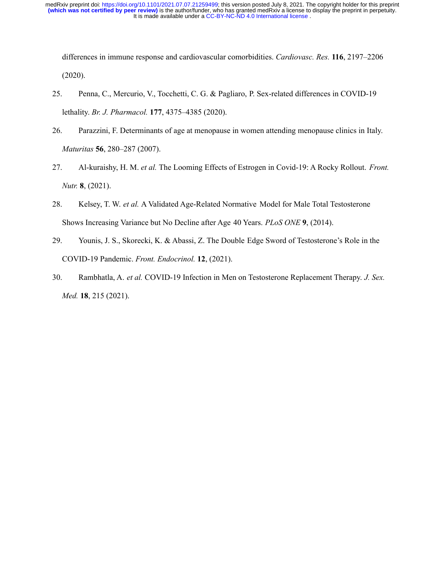[differences in immune response and cardiovascular comorbidities.](https://www.zotero.org/google-docs/?8ba9OB) *Cardiovasc. Res.* **116**, 2197–2206 [\(2020\).](https://www.zotero.org/google-docs/?8ba9OB)

- [25. Penna, C., Mercurio, V., Tocchetti, C. G. & Pagliaro, P. Sex-related differences in COVID-19](https://www.zotero.org/google-docs/?8ba9OB) lethality. *Br. J. Pharmacol.* **177**[, 4375–4385 \(2020\).](https://www.zotero.org/google-docs/?8ba9OB)
- [26. Parazzini, F. Determinants of age at menopause in women attending menopause clinics in Italy.](https://www.zotero.org/google-docs/?8ba9OB) *Maturitas* **56**[, 280–287 \(2007\).](https://www.zotero.org/google-docs/?8ba9OB)
- 27. Al-kuraishy, H. M. *et al.* [The Looming Effects of Estrogen in Covid-19: A Rocky Rollout.](https://www.zotero.org/google-docs/?8ba9OB) *Front. Nutr.* **8**[, \(2021\).](https://www.zotero.org/google-docs/?8ba9OB)
- 28. Kelsey, T. W. *et al.* [A Validated Age-Related Normative Model for Male Total Testosterone](https://www.zotero.org/google-docs/?8ba9OB) [Shows Increasing Variance but No Decline after Age 40 Years.](https://www.zotero.org/google-docs/?8ba9OB) *PLoS ONE* **9**, (2014).
- [29. Younis, J. S., Skorecki, K. & Abassi, Z. The Double Edge Sword of Testosterone's Role in the](https://www.zotero.org/google-docs/?8ba9OB) [COVID-19 Pandemic.](https://www.zotero.org/google-docs/?8ba9OB) *Front. Endocrinol.* **12**, (2021).
- 30. Rambhatla, A. *et al.* [COVID-19 Infection in Men on Testosterone Replacement Therapy.](https://www.zotero.org/google-docs/?8ba9OB) *J. Sex. Med.* **18**[, 215 \(2021\).](https://www.zotero.org/google-docs/?8ba9OB)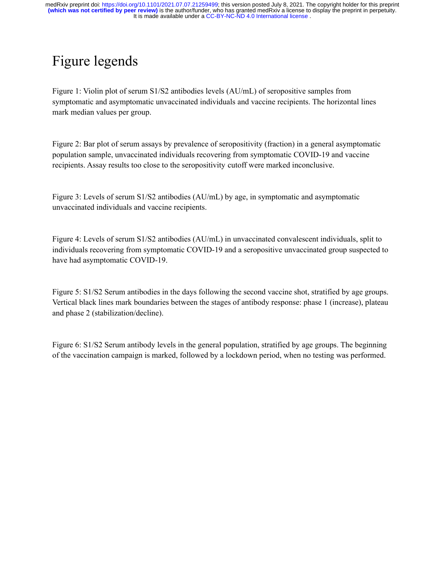# Figure legends

Figure 1: Violin plot of serum S1/S2 antibodies levels (AU/mL) of seropositive samples from symptomatic and asymptomatic unvaccinated individuals and vaccine recipients. The horizontal lines mark median values per group.

Figure 2: Bar plot of serum assays by prevalence of seropositivity (fraction) in a general asymptomatic population sample, unvaccinated individuals recovering from symptomatic COVID-19 and vaccine recipients. Assay results too close to the seropositivity cutoff were marked inconclusive.

Figure 3: Levels of serum S1/S2 antibodies (AU/mL) by age, in symptomatic and asymptomatic unvaccinated individuals and vaccine recipients.

Figure 4: Levels of serum S1/S2 antibodies (AU/mL) in unvaccinated convalescent individuals, split to individuals recovering from symptomatic COVID-19 and a seropositive unvaccinated group suspected to have had asymptomatic COVID-19.

Figure 5: S1/S2 Serum antibodies in the days following the second vaccine shot, stratified by age groups. Vertical black lines mark boundaries between the stages of antibody response: phase 1 (increase), plateau and phase 2 (stabilization/decline).

Figure 6: S1/S2 Serum antibody levels in the general population, stratified by age groups. The beginning of the vaccination campaign is marked, followed by a lockdown period, when no testing was performed.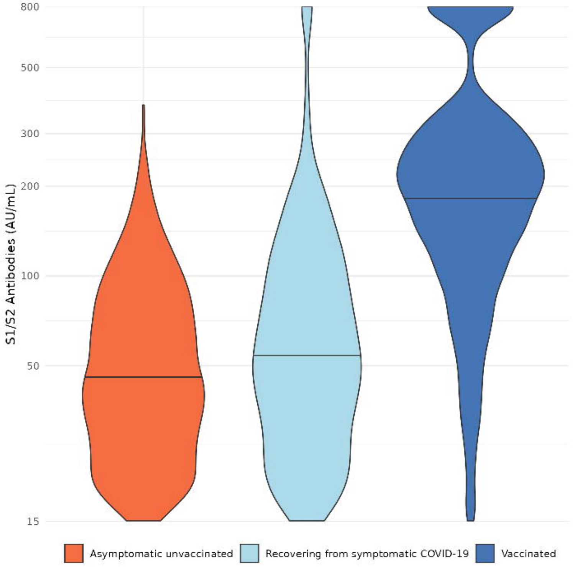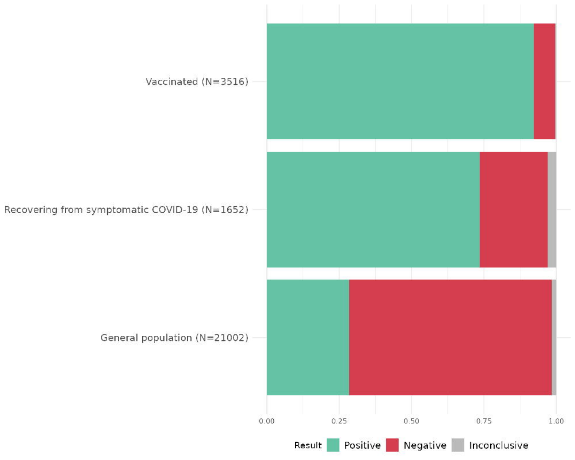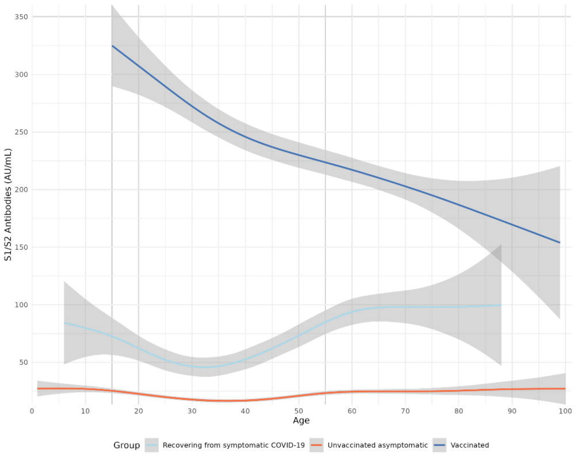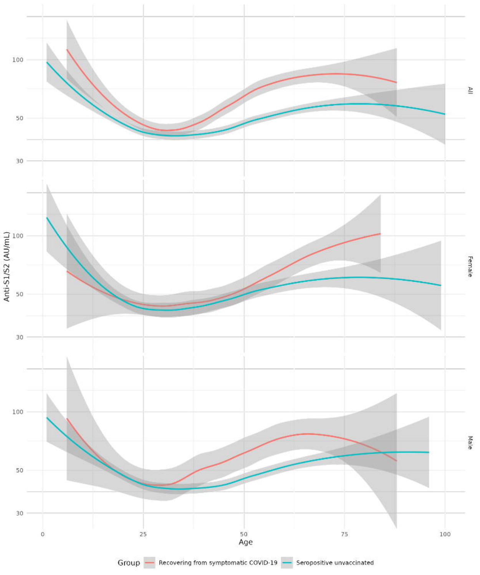

Group - Recovering from symptomatic COVID-19 - Seropositive unvaccinated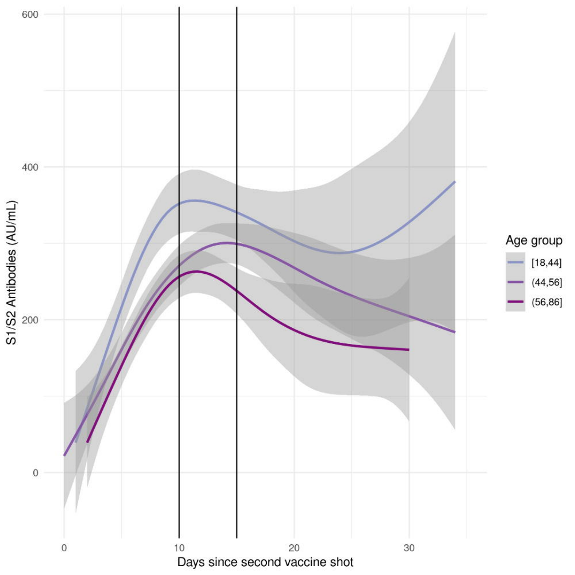